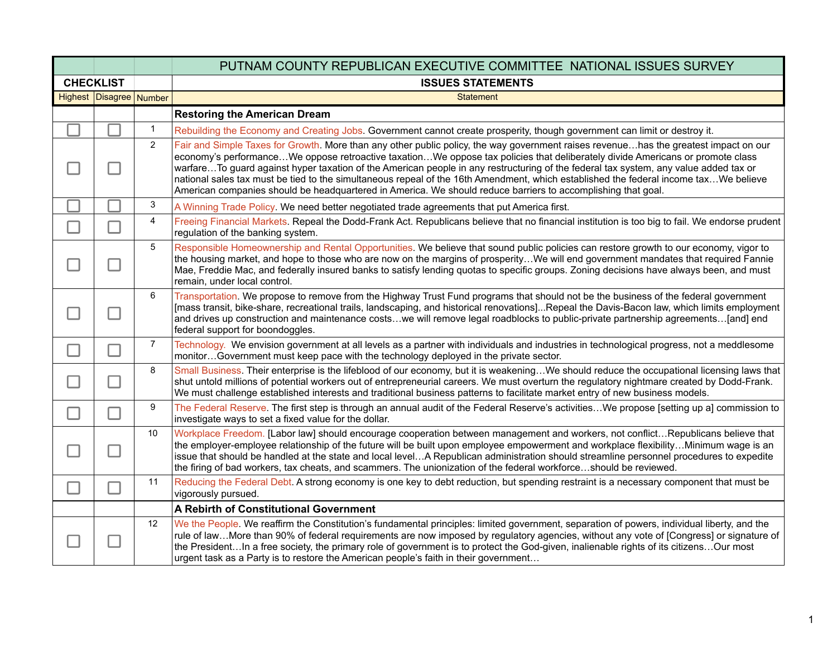|                  |                         |                | PUTNAM COUNTY REPUBLICAN EXECUTIVE COMMITTEE NATIONAL ISSUES SURVEY                                                                                                                                                                                                                                                                                                                                                                                                                                                                                                                                                                                                   |
|------------------|-------------------------|----------------|-----------------------------------------------------------------------------------------------------------------------------------------------------------------------------------------------------------------------------------------------------------------------------------------------------------------------------------------------------------------------------------------------------------------------------------------------------------------------------------------------------------------------------------------------------------------------------------------------------------------------------------------------------------------------|
| <b>CHECKLIST</b> |                         |                | <b>ISSUES STATEMENTS</b>                                                                                                                                                                                                                                                                                                                                                                                                                                                                                                                                                                                                                                              |
|                  | Highest Disagree Number |                | <b>Statement</b>                                                                                                                                                                                                                                                                                                                                                                                                                                                                                                                                                                                                                                                      |
|                  |                         |                | <b>Restoring the American Dream</b>                                                                                                                                                                                                                                                                                                                                                                                                                                                                                                                                                                                                                                   |
|                  |                         | $\mathbf{1}$   | Rebuilding the Economy and Creating Jobs. Government cannot create prosperity, though government can limit or destroy it.                                                                                                                                                                                                                                                                                                                                                                                                                                                                                                                                             |
|                  | - 1                     | $\overline{2}$ | Fair and Simple Taxes for Growth. More than any other public policy, the way government raises revenuehas the greatest impact on our<br>economy's performanceWe oppose retroactive taxationWe oppose tax policies that deliberately divide Americans or promote class<br>warfareTo guard against hyper taxation of the American people in any restructuring of the federal tax system, any value added tax or<br>national sales tax must be tied to the simultaneous repeal of the 16th Amendment, which established the federal income taxWe believe<br>American companies should be headquartered in America. We should reduce barriers to accomplishing that goal. |
|                  |                         | 3              | A Winning Trade Policy. We need better negotiated trade agreements that put America first.                                                                                                                                                                                                                                                                                                                                                                                                                                                                                                                                                                            |
| $\Box$           | ┐                       | $\overline{4}$ | Freeing Financial Markets. Repeal the Dodd-Frank Act. Republicans believe that no financial institution is too big to fail. We endorse prudent<br>regulation of the banking system.                                                                                                                                                                                                                                                                                                                                                                                                                                                                                   |
|                  |                         | 5              | Responsible Homeownership and Rental Opportunities. We believe that sound public policies can restore growth to our economy, vigor to<br>the housing market, and hope to those who are now on the margins of prosperityWe will end government mandates that required Fannie<br>Mae, Freddie Mac, and federally insured banks to satisfy lending quotas to specific groups. Zoning decisions have always been, and must<br>remain, under local control.                                                                                                                                                                                                                |
|                  |                         | 6              | Transportation. We propose to remove from the Highway Trust Fund programs that should not be the business of the federal government<br>[mass transit, bike-share, recreational trails, landscaping, and historical renovations]Repeal the Davis-Bacon law, which limits employment<br>and drives up construction and maintenance costswe will remove legal roadblocks to public-private partnership agreements[and] end<br>federal support for boondoggles.                                                                                                                                                                                                           |
|                  | ΞI.                     | $\overline{7}$ | Technology. We envision government at all levels as a partner with individuals and industries in technological progress, not a meddlesome<br>monitorGovernment must keep pace with the technology deployed in the private sector.                                                                                                                                                                                                                                                                                                                                                                                                                                     |
|                  | - 1                     | 8              | Small Business. Their enterprise is the lifeblood of our economy, but it is weakeningWe should reduce the occupational licensing laws that<br>shut untold millions of potential workers out of entrepreneurial careers. We must overturn the regulatory nightmare created by Dodd-Frank.<br>We must challenge established interests and traditional business patterns to facilitate market entry of new business models.                                                                                                                                                                                                                                              |
| $\blacksquare$   | $\Box$                  | 9              | The Federal Reserve. The first step is through an annual audit of the Federal Reserve's activitiesWe propose [setting up a] commission to<br>investigate ways to set a fixed value for the dollar.                                                                                                                                                                                                                                                                                                                                                                                                                                                                    |
|                  | $\mathbf{I}$            | 10             | Workplace Freedom. [Labor law] should encourage cooperation between management and workers, not conflictRepublicans believe that<br>the employer-employee relationship of the future will be built upon employee empowerment and workplace flexibilityMinimum wage is an<br>issue that should be handled at the state and local levelA Republican administration should streamline personnel procedures to expedite<br>the firing of bad workers, tax cheats, and scammers. The unionization of the federal workforceshould be reviewed.                                                                                                                              |
| $\mathbb{R}^3$   | П                       | 11             | Reducing the Federal Debt. A strong economy is one key to debt reduction, but spending restraint is a necessary component that must be<br>vigorously pursued.                                                                                                                                                                                                                                                                                                                                                                                                                                                                                                         |
|                  |                         |                | A Rebirth of Constitutional Government                                                                                                                                                                                                                                                                                                                                                                                                                                                                                                                                                                                                                                |
|                  |                         | 12             | We the People. We reaffirm the Constitution's fundamental principles: limited government, separation of powers, individual liberty, and the<br>rule of lawMore than 90% of federal requirements are now imposed by regulatory agencies, without any vote of [Congress] or signature of<br>the PresidentIn a free society, the primary role of government is to protect the God-given, inalienable rights of its citizensOur most<br>urgent task as a Party is to restore the American people's faith in their government                                                                                                                                              |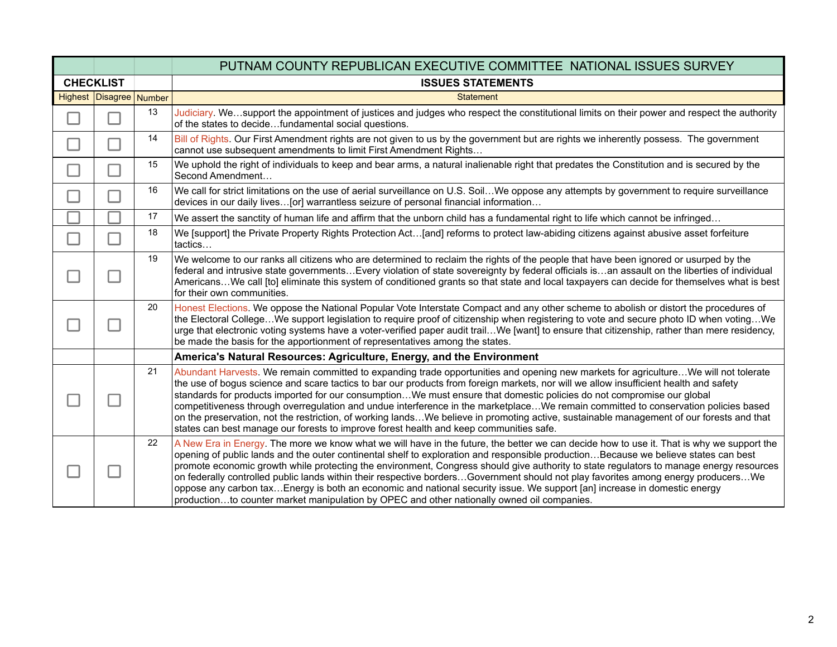|                  |                         |    | PUTNAM COUNTY REPUBLICAN EXECUTIVE COMMITTEE NATIONAL ISSUES SURVEY                                                                                                                                                                                                                                                                                                                                                                                                                                                                                                                                                                                                                                                                                                                        |
|------------------|-------------------------|----|--------------------------------------------------------------------------------------------------------------------------------------------------------------------------------------------------------------------------------------------------------------------------------------------------------------------------------------------------------------------------------------------------------------------------------------------------------------------------------------------------------------------------------------------------------------------------------------------------------------------------------------------------------------------------------------------------------------------------------------------------------------------------------------------|
| <b>CHECKLIST</b> |                         |    | <b>ISSUES STATEMENTS</b>                                                                                                                                                                                                                                                                                                                                                                                                                                                                                                                                                                                                                                                                                                                                                                   |
|                  | Highest Disagree Number |    | <b>Statement</b>                                                                                                                                                                                                                                                                                                                                                                                                                                                                                                                                                                                                                                                                                                                                                                           |
|                  |                         | 13 | Judiciary. Wesupport the appointment of justices and judges who respect the constitutional limits on their power and respect the authority<br>of the states to decidefundamental social questions.                                                                                                                                                                                                                                                                                                                                                                                                                                                                                                                                                                                         |
|                  |                         | 14 | Bill of Rights. Our First Amendment rights are not given to us by the government but are rights we inherently possess. The government<br>cannot use subsequent amendments to limit First Amendment Rights                                                                                                                                                                                                                                                                                                                                                                                                                                                                                                                                                                                  |
|                  |                         | 15 | We uphold the right of individuals to keep and bear arms, a natural inalienable right that predates the Constitution and is secured by the<br>Second Amendment                                                                                                                                                                                                                                                                                                                                                                                                                                                                                                                                                                                                                             |
|                  |                         | 16 | We call for strict limitations on the use of aerial surveillance on U.S. SoilWe oppose any attempts by government to require surveillance<br>devices in our daily lives[or] warrantless seizure of personal financial information                                                                                                                                                                                                                                                                                                                                                                                                                                                                                                                                                          |
|                  |                         | 17 | We assert the sanctity of human life and affirm that the unborn child has a fundamental right to life which cannot be infringed                                                                                                                                                                                                                                                                                                                                                                                                                                                                                                                                                                                                                                                            |
|                  |                         | 18 | We [support] the Private Property Rights Protection Act[and] reforms to protect law-abiding citizens against abusive asset forfeiture<br>tactics                                                                                                                                                                                                                                                                                                                                                                                                                                                                                                                                                                                                                                           |
|                  | <b>False</b>            | 19 | We welcome to our ranks all citizens who are determined to reclaim the rights of the people that have been ignored or usurped by the<br>federal and intrusive state governmentsEvery violation of state sovereignty by federal officials isan assault on the liberties of individual<br>AmericansWe call [to] eliminate this system of conditioned grants so that state and local taxpayers can decide for themselves what is best<br>for their own communities.                                                                                                                                                                                                                                                                                                                           |
|                  |                         | 20 | Honest Elections. We oppose the National Popular Vote Interstate Compact and any other scheme to abolish or distort the procedures of<br>the Electoral CollegeWe support legislation to require proof of citizenship when registering to vote and secure photo ID when votingWe<br>urge that electronic voting systems have a voter-verified paper audit trailWe [want] to ensure that citizenship, rather than mere residency,<br>be made the basis for the apportionment of representatives among the states.                                                                                                                                                                                                                                                                            |
|                  |                         |    | America's Natural Resources: Agriculture, Energy, and the Environment                                                                                                                                                                                                                                                                                                                                                                                                                                                                                                                                                                                                                                                                                                                      |
|                  |                         | 21 | Abundant Harvests. We remain committed to expanding trade opportunities and opening new markets for agricultureWe will not tolerate<br>the use of bogus science and scare tactics to bar our products from foreign markets, nor will we allow insufficient health and safety<br>standards for products imported for our consumptionWe must ensure that domestic policies do not compromise our global<br>competitiveness through overregulation and undue interference in the marketplaceWe remain committed to conservation policies based<br>on the preservation, not the restriction, of working landsWe believe in promoting active, sustainable management of our forests and that<br>states can best manage our forests to improve forest health and keep communities safe.          |
|                  |                         | 22 | A New Era in Energy. The more we know what we will have in the future, the better we can decide how to use it. That is why we support the<br>opening of public lands and the outer continental shelf to exploration and responsible productionBecause we believe states can best<br>promote economic growth while protecting the environment, Congress should give authority to state regulators to manage energy resources<br>on federally controlled public lands within their respective bordersGovernment should not play favorites among energy producersWe<br>oppose any carbon taxEnergy is both an economic and national security issue. We support [an] increase in domestic energy<br>productionto counter market manipulation by OPEC and other nationally owned oil companies. |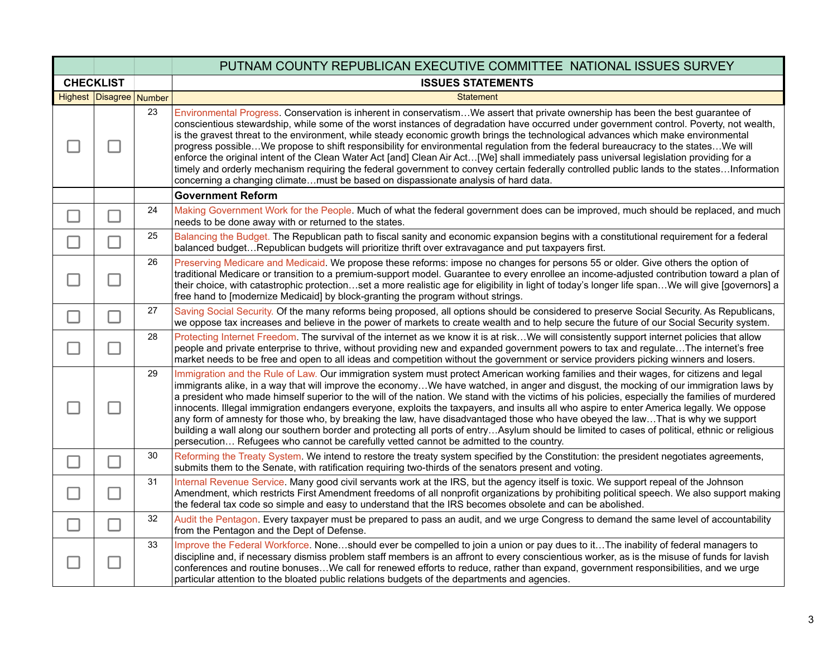|                  | PUTNAM COUNTY REPUBLICAN EXECUTIVE COMMITTEE NATIONAL ISSUES SURVEY |    |                                                                                                                                                                                                                                                                                                                                                                                                                                                                                                                                                                                                                                                                                                                                                                                                                                                                                                                                                               |  |  |
|------------------|---------------------------------------------------------------------|----|---------------------------------------------------------------------------------------------------------------------------------------------------------------------------------------------------------------------------------------------------------------------------------------------------------------------------------------------------------------------------------------------------------------------------------------------------------------------------------------------------------------------------------------------------------------------------------------------------------------------------------------------------------------------------------------------------------------------------------------------------------------------------------------------------------------------------------------------------------------------------------------------------------------------------------------------------------------|--|--|
| <b>CHECKLIST</b> |                                                                     |    | <b>ISSUES STATEMENTS</b>                                                                                                                                                                                                                                                                                                                                                                                                                                                                                                                                                                                                                                                                                                                                                                                                                                                                                                                                      |  |  |
|                  | Highest Disagree Number                                             |    | <b>Statement</b>                                                                                                                                                                                                                                                                                                                                                                                                                                                                                                                                                                                                                                                                                                                                                                                                                                                                                                                                              |  |  |
|                  |                                                                     | 23 | Environmental Progress. Conservation is inherent in conservatismWe assert that private ownership has been the best guarantee of<br>conscientious stewardship, while some of the worst instances of degradation have occurred under government control. Poverty, not wealth,<br>is the gravest threat to the environment, while steady economic growth brings the technological advances which make environmental<br>progress possibleWe propose to shift responsibility for environmental regulation from the federal bureaucracy to the statesWe will<br>enforce the original intent of the Clean Water Act [and] Clean Air Act[We] shall immediately pass universal legislation providing for a<br>timely and orderly mechanism requiring the federal government to convey certain federally controlled public lands to the statesInformation<br>concerning a changing climatemust be based on dispassionate analysis of hard data.                         |  |  |
|                  |                                                                     |    | <b>Government Reform</b>                                                                                                                                                                                                                                                                                                                                                                                                                                                                                                                                                                                                                                                                                                                                                                                                                                                                                                                                      |  |  |
|                  |                                                                     | 24 | Making Government Work for the People. Much of what the federal government does can be improved, much should be replaced, and much<br>needs to be done away with or returned to the states.                                                                                                                                                                                                                                                                                                                                                                                                                                                                                                                                                                                                                                                                                                                                                                   |  |  |
|                  |                                                                     | 25 | Balancing the Budget. The Republican path to fiscal sanity and economic expansion begins with a constitutional requirement for a federal<br>balanced budgetRepublican budgets will prioritize thrift over extravagance and put taxpayers first.                                                                                                                                                                                                                                                                                                                                                                                                                                                                                                                                                                                                                                                                                                               |  |  |
|                  |                                                                     | 26 | Preserving Medicare and Medicaid. We propose these reforms: impose no changes for persons 55 or older. Give others the option of<br>traditional Medicare or transition to a premium-support model. Guarantee to every enrollee an income-adjusted contribution toward a plan of<br>their choice, with catastrophic protectionset a more realistic age for eligibility in light of today's longer life spanWe will give [governors] a<br>free hand to [modernize Medicaid] by block-granting the program without strings.                                                                                                                                                                                                                                                                                                                                                                                                                                      |  |  |
|                  |                                                                     | 27 | Saving Social Security. Of the many reforms being proposed, all options should be considered to preserve Social Security. As Republicans,<br>we oppose tax increases and believe in the power of markets to create wealth and to help secure the future of our Social Security system.                                                                                                                                                                                                                                                                                                                                                                                                                                                                                                                                                                                                                                                                        |  |  |
|                  | $\blacksquare$                                                      | 28 | Protecting Internet Freedom. The survival of the internet as we know it is at riskWe will consistently support internet policies that allow<br>people and private enterprise to thrive, without providing new and expanded government powers to tax and regulateThe internet's free<br>market needs to be free and open to all ideas and competition without the government or service providers picking winners and losers.                                                                                                                                                                                                                                                                                                                                                                                                                                                                                                                                  |  |  |
|                  |                                                                     | 29 | Immigration and the Rule of Law. Our immigration system must protect American working families and their wages, for citizens and legal<br>immigrants alike, in a way that will improve the economyWe have watched, in anger and disgust, the mocking of our immigration laws by<br>a president who made himself superior to the will of the nation. We stand with the victims of his policies, especially the families of murdered<br>innocents. Illegal immigration endangers everyone, exploits the taxpayers, and insults all who aspire to enter America legally. We oppose<br>any form of amnesty for those who, by breaking the law, have disadvantaged those who have obeyed the lawThat is why we support<br>building a wall along our southern border and protecting all ports of entryAsylum should be limited to cases of political, ethnic or religious<br>persecution Refugees who cannot be carefully vetted cannot be admitted to the country. |  |  |
|                  |                                                                     | 30 | Reforming the Treaty System. We intend to restore the treaty system specified by the Constitution: the president negotiates agreements,<br>submits them to the Senate, with ratification requiring two-thirds of the senators present and voting.                                                                                                                                                                                                                                                                                                                                                                                                                                                                                                                                                                                                                                                                                                             |  |  |
|                  |                                                                     | 31 | Internal Revenue Service. Many good civil servants work at the IRS, but the agency itself is toxic. We support repeal of the Johnson<br>Amendment, which restricts First Amendment freedoms of all nonprofit organizations by prohibiting political speech. We also support making<br>the federal tax code so simple and easy to understand that the IRS becomes obsolete and can be abolished.                                                                                                                                                                                                                                                                                                                                                                                                                                                                                                                                                               |  |  |
|                  |                                                                     | 32 | Audit the Pentagon. Every taxpayer must be prepared to pass an audit, and we urge Congress to demand the same level of accountability<br>from the Pentagon and the Dept of Defense.                                                                                                                                                                                                                                                                                                                                                                                                                                                                                                                                                                                                                                                                                                                                                                           |  |  |
|                  |                                                                     | 33 | Improve the Federal Workforce. Noneshould ever be compelled to join a union or pay dues to itThe inability of federal managers to<br>discipline and, if necessary dismiss problem staff members is an affront to every conscientious worker, as is the misuse of funds for lavish<br>conferences and routine bonusesWe call for renewed efforts to reduce, rather than expand, government responsibilities, and we urge<br>particular attention to the bloated public relations budgets of the departments and agencies.                                                                                                                                                                                                                                                                                                                                                                                                                                      |  |  |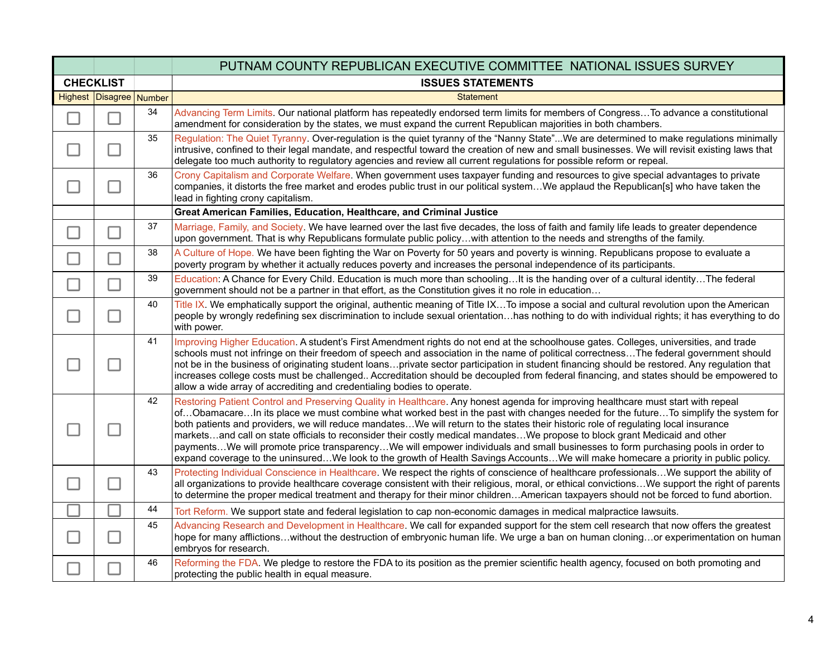|                  |                          |        | PUTNAM COUNTY REPUBLICAN EXECUTIVE COMMITTEE NATIONAL ISSUES SURVEY                                                                                                                                                                                                                                                                                                                                                                                                                                                                                                                                                                                                                                                                                                                                                 |
|------------------|--------------------------|--------|---------------------------------------------------------------------------------------------------------------------------------------------------------------------------------------------------------------------------------------------------------------------------------------------------------------------------------------------------------------------------------------------------------------------------------------------------------------------------------------------------------------------------------------------------------------------------------------------------------------------------------------------------------------------------------------------------------------------------------------------------------------------------------------------------------------------|
| <b>CHECKLIST</b> |                          |        | <b>ISSUES STATEMENTS</b>                                                                                                                                                                                                                                                                                                                                                                                                                                                                                                                                                                                                                                                                                                                                                                                            |
|                  | Highest Disagree         | Number | <b>Statement</b>                                                                                                                                                                                                                                                                                                                                                                                                                                                                                                                                                                                                                                                                                                                                                                                                    |
|                  | П                        | 34     | Advancing Term Limits. Our national platform has repeatedly endorsed term limits for members of CongressTo advance a constitutional<br>amendment for consideration by the states, we must expand the current Republican majorities in both chambers.                                                                                                                                                                                                                                                                                                                                                                                                                                                                                                                                                                |
|                  | $\overline{\phantom{a}}$ | 35     | Regulation: The Quiet Tyranny. Over-regulation is the quiet tyranny of the "Nanny State"We are determined to make regulations minimally<br>intrusive, confined to their legal mandate, and respectful toward the creation of new and small businesses. We will revisit existing laws that<br>delegate too much authority to regulatory agencies and review all current regulations for possible reform or repeal.                                                                                                                                                                                                                                                                                                                                                                                                   |
|                  | J.                       | 36     | Crony Capitalism and Corporate Welfare. When government uses taxpayer funding and resources to give special advantages to private<br>companies, it distorts the free market and erodes public trust in our political systemWe applaud the Republican[s] who have taken the<br>lead in fighting crony capitalism.                                                                                                                                                                                                                                                                                                                                                                                                                                                                                                    |
|                  |                          |        | Great American Families, Education, Healthcare, and Criminal Justice                                                                                                                                                                                                                                                                                                                                                                                                                                                                                                                                                                                                                                                                                                                                                |
|                  | T,                       | 37     | Marriage, Family, and Society. We have learned over the last five decades, the loss of faith and family life leads to greater dependence<br>upon government. That is why Republicans formulate public policywith attention to the needs and strengths of the family.                                                                                                                                                                                                                                                                                                                                                                                                                                                                                                                                                |
|                  |                          | 38     | A Culture of Hope. We have been fighting the War on Poverty for 50 years and poverty is winning. Republicans propose to evaluate a<br>poverty program by whether it actually reduces poverty and increases the personal independence of its participants.                                                                                                                                                                                                                                                                                                                                                                                                                                                                                                                                                           |
| - 1              | П                        | 39     | Education: A Chance for Every Child. Education is much more than schoolingIt is the handing over of a cultural identityThe federal<br>government should not be a partner in that effort, as the Constitution gives it no role in education                                                                                                                                                                                                                                                                                                                                                                                                                                                                                                                                                                          |
|                  | $\Box$                   | 40     | Title IX. We emphatically support the original, authentic meaning of Title IXTo impose a social and cultural revolution upon the American<br>people by wrongly redefining sex discrimination to include sexual orientationhas nothing to do with individual rights; it has everything to do<br>with power.                                                                                                                                                                                                                                                                                                                                                                                                                                                                                                          |
|                  | $\mathcal{L}$            | 41     | Improving Higher Education. A student's First Amendment rights do not end at the schoolhouse gates. Colleges, universities, and trade<br>schools must not infringe on their freedom of speech and association in the name of political correctnessThe federal government should<br>not be in the business of originating student loansprivate sector participation in student financing should be restored. Any regulation that<br>increases college costs must be challenged Accreditation should be decoupled from federal financing, and states should be empowered to<br>allow a wide array of accrediting and credentialing bodies to operate.                                                                                                                                                                 |
|                  |                          | 42     | Restoring Patient Control and Preserving Quality in Healthcare. Any honest agenda for improving healthcare must start with repeal<br>ofObamacareIn its place we must combine what worked best in the past with changes needed for the futureTo simplify the system for<br>both patients and providers, we will reduce mandatesWe will return to the states their historic role of regulating local insurance<br>marketsand call on state officials to reconsider their costly medical mandatesWe propose to block grant Medicaid and other<br>paymentsWe will promote price transparencyWe will empower individuals and small businesses to form purchasing pools in order to<br>expand coverage to the uninsuredWe look to the growth of Health Savings AccountsWe will make homecare a priority in public policy. |
|                  |                          | 43     | Protecting Individual Conscience in Healthcare. We respect the rights of conscience of healthcare professionalsWe support the ability of<br>all organizations to provide healthcare coverage consistent with their religious, moral, or ethical convictions We support the right of parents<br>to determine the proper medical treatment and therapy for their minor childrenAmerican taxpayers should not be forced to fund abortion.                                                                                                                                                                                                                                                                                                                                                                              |
|                  |                          | 44     | Tort Reform. We support state and federal legislation to cap non-economic damages in medical malpractice lawsuits.                                                                                                                                                                                                                                                                                                                                                                                                                                                                                                                                                                                                                                                                                                  |
|                  | $\Box$                   | 45     | Advancing Research and Development in Healthcare. We call for expanded support for the stem cell research that now offers the greatest<br>hope for many afflictionswithout the destruction of embryonic human life. We urge a ban on human cloningor experimentation on human<br>embryos for research.                                                                                                                                                                                                                                                                                                                                                                                                                                                                                                              |
|                  |                          | 46     | Reforming the FDA. We pledge to restore the FDA to its position as the premier scientific health agency, focused on both promoting and<br>protecting the public health in equal measure.                                                                                                                                                                                                                                                                                                                                                                                                                                                                                                                                                                                                                            |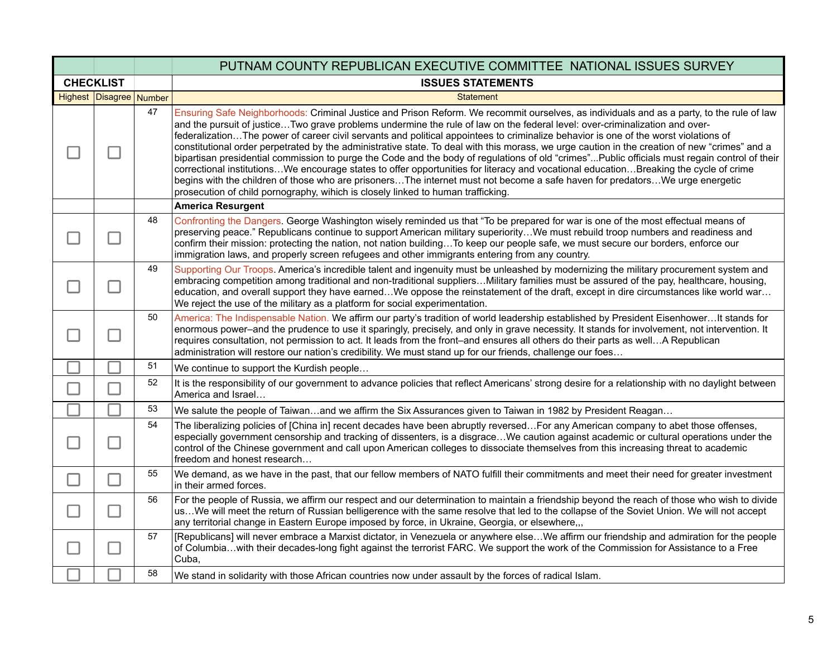|                  |                         |    | PUTNAM COUNTY REPUBLICAN EXECUTIVE COMMITTEE NATIONAL ISSUES SURVEY                                                                                                                                                                                                                                                                                                                                                                                                                                                                                                                                                                                                                                                                                                                                                                                                                                                                                                                                                                                                          |
|------------------|-------------------------|----|------------------------------------------------------------------------------------------------------------------------------------------------------------------------------------------------------------------------------------------------------------------------------------------------------------------------------------------------------------------------------------------------------------------------------------------------------------------------------------------------------------------------------------------------------------------------------------------------------------------------------------------------------------------------------------------------------------------------------------------------------------------------------------------------------------------------------------------------------------------------------------------------------------------------------------------------------------------------------------------------------------------------------------------------------------------------------|
| <b>CHECKLIST</b> |                         |    | <b>ISSUES STATEMENTS</b>                                                                                                                                                                                                                                                                                                                                                                                                                                                                                                                                                                                                                                                                                                                                                                                                                                                                                                                                                                                                                                                     |
|                  | Highest Disagree Number |    | <b>Statement</b>                                                                                                                                                                                                                                                                                                                                                                                                                                                                                                                                                                                                                                                                                                                                                                                                                                                                                                                                                                                                                                                             |
|                  |                         | 47 | Ensuring Safe Neighborhoods: Criminal Justice and Prison Reform. We recommit ourselves, as individuals and as a party, to the rule of law<br>and the pursuit of justiceTwo grave problems undermine the rule of law on the federal level: over-criminalization and over-<br>federalizationThe power of career civil servants and political appointees to criminalize behavior is one of the worst violations of<br>constitutional order perpetrated by the administrative state. To deal with this morass, we urge caution in the creation of new "crimes" and a<br>bipartisan presidential commission to purge the Code and the body of regulations of old "crimes"Public officials must regain control of their<br>correctional institutionsWe encourage states to offer opportunities for literacy and vocational educationBreaking the cycle of crime<br>begins with the children of those who are prisonersThe internet must not become a safe haven for predatorsWe urge energetic<br>prosecution of child pornography, wihich is closely linked to human trafficking. |
|                  |                         |    | <b>America Resurgent</b>                                                                                                                                                                                                                                                                                                                                                                                                                                                                                                                                                                                                                                                                                                                                                                                                                                                                                                                                                                                                                                                     |
|                  |                         | 48 | Confronting the Dangers. George Washington wisely reminded us that "To be prepared for war is one of the most effectual means of<br>preserving peace." Republicans continue to support American military superiorityWe must rebuild troop numbers and readiness and<br>confirm their mission: protecting the nation, not nation buildingTo keep our people safe, we must secure our borders, enforce our<br>immigration laws, and properly screen refugees and other immigrants entering from any country.                                                                                                                                                                                                                                                                                                                                                                                                                                                                                                                                                                   |
|                  |                         | 49 | Supporting Our Troops. America's incredible talent and ingenuity must be unleashed by modernizing the military procurement system and<br>embracing competition among traditional and non-traditional suppliersMilitary families must be assured of the pay, healthcare, housing,<br>education, and overall support they have earnedWe oppose the reinstatement of the draft, except in dire circumstances like world war<br>We reject the use of the military as a platform for social experimentation.                                                                                                                                                                                                                                                                                                                                                                                                                                                                                                                                                                      |
|                  |                         | 50 | America: The Indispensable Nation. We affirm our party's tradition of world leadership established by President EisenhowerIt stands for<br>enormous power-and the prudence to use it sparingly, precisely, and only in grave necessity. It stands for involvement, not intervention. It<br>requires consultation, not permission to act. It leads from the front-and ensures all others do their parts as wellA Republican<br>administration will restore our nation's credibility. We must stand up for our friends, challenge our foes                                                                                                                                                                                                                                                                                                                                                                                                                                                                                                                                     |
|                  |                         | 51 | We continue to support the Kurdish people                                                                                                                                                                                                                                                                                                                                                                                                                                                                                                                                                                                                                                                                                                                                                                                                                                                                                                                                                                                                                                    |
|                  |                         | 52 | It is the responsibility of our government to advance policies that reflect Americans' strong desire for a relationship with no daylight between<br>America and Israel                                                                                                                                                                                                                                                                                                                                                                                                                                                                                                                                                                                                                                                                                                                                                                                                                                                                                                       |
|                  |                         | 53 | We salute the people of Taiwanand we affirm the Six Assurances given to Taiwan in 1982 by President Reagan                                                                                                                                                                                                                                                                                                                                                                                                                                                                                                                                                                                                                                                                                                                                                                                                                                                                                                                                                                   |
|                  |                         | 54 | The liberalizing policies of [China in] recent decades have been abruptly reversedFor any American company to abet those offenses,<br>especially government censorship and tracking of dissenters, is a disgraceWe caution against academic or cultural operations under the<br>control of the Chinese government and call upon American colleges to dissociate themselves from this increasing threat to academic<br>freedom and honest research                                                                                                                                                                                                                                                                                                                                                                                                                                                                                                                                                                                                                            |
| $\sim$           | П                       | 55 | We demand, as we have in the past, that our fellow members of NATO fulfill their commitments and meet their need for greater investment<br>in their armed forces.                                                                                                                                                                                                                                                                                                                                                                                                                                                                                                                                                                                                                                                                                                                                                                                                                                                                                                            |
|                  | П                       | 56 | For the people of Russia, we affirm our respect and our determination to maintain a friendship beyond the reach of those who wish to divide<br>usWe will meet the return of Russian belligerence with the same resolve that led to the collapse of the Soviet Union. We will not accept<br>any territorial change in Eastern Europe imposed by force, in Ukraine, Georgia, or elsewhere,,,                                                                                                                                                                                                                                                                                                                                                                                                                                                                                                                                                                                                                                                                                   |
|                  |                         | 57 | [Republicans] will never embrace a Marxist dictator, in Venezuela or anywhere elseWe affirm our friendship and admiration for the people<br>of Columbiawith their decades-long fight against the terrorist FARC. We support the work of the Commission for Assistance to a Free<br>Cuba,                                                                                                                                                                                                                                                                                                                                                                                                                                                                                                                                                                                                                                                                                                                                                                                     |
|                  |                         | 58 | We stand in solidarity with those African countries now under assault by the forces of radical Islam.                                                                                                                                                                                                                                                                                                                                                                                                                                                                                                                                                                                                                                                                                                                                                                                                                                                                                                                                                                        |